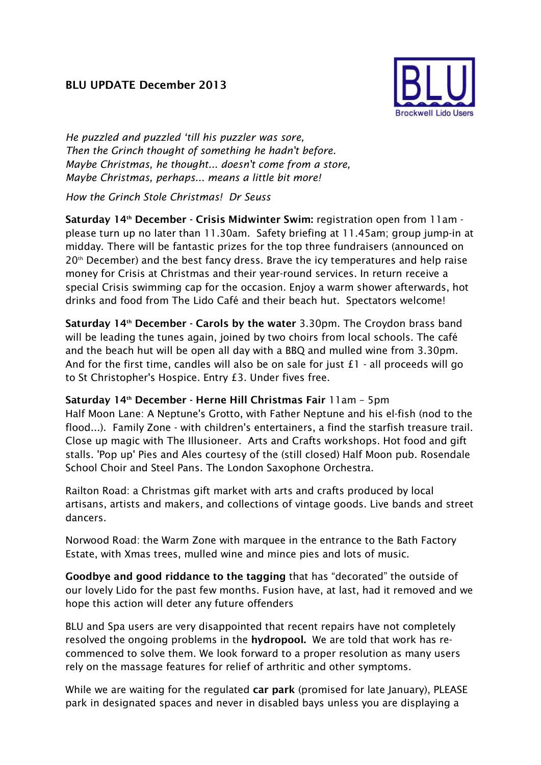## **BLU UPDATE December 2013**



*He puzzled and puzzled 'till his puzzler was sore, Then the Grinch thought of something he hadn't before. Maybe Christmas, he thought... doesn't come from a store, Maybe Christmas, perhaps... means a little bit more!*

*How the Grinch Stole Christmas! Dr Seuss* 

**Saturday 14th December - Crisis Midwinter Swim:** *registration open from 11am please turn up no later than 11.30am. Safety briefing at 11.45am; group jump-in at midday. There will be fantastic prizes for the top three fundraisers (announced on 20th December) and the best fancy dress. Brave the icy temperatures and help raise money for Crisis at Christmas and their year-round services. In return receive a special Crisis swimming cap for the occasion. Enjoy a warm shower afterwards, hot drinks and food from The Lido Café and their beach hut. Spectators welcome!*

**Saturday 14th December - Carols by the water** *3.30pm. The Croydon brass band will be leading the tunes again, joined by two choirs from local schools. The café and the beach hut will be open all day with a BBQ and mulled wine from 3.30pm. And for the first time, candles will also be on sale for just £1 - all proceeds will go to St Christopher's Hospice. Entry £3. Under fives free.* 

## **Saturday 14th December - Herne Hill Christmas Fair** *11am – 5pm*

*Half Moon Lane: A Neptune's Grotto, with Father Neptune and his el-fish (nod to the flood...). Family Zone - with children's entertainers, a find the starfish treasure trail. Close up magic with The Illusioneer. Arts and Crafts workshops. Hot food and gift stalls. 'Pop up' Pies and Ales courtesy of the (still closed) Half Moon pub. Rosendale School Choir and Steel Pans. The London Saxophone Orchestra.* 

*Railton Road: a Christmas gift market with arts and crafts produced by local artisans, artists and makers, and collections of vintage goods. Live bands and street dancers.* 

*Norwood Road: the Warm Zone with marquee in the entrance to the Bath Factory Estate, with Xmas trees, mulled wine and mince pies and lots of music.* 

**Goodbye and good riddance to the tagging** *that has "decorated" the outside of our lovely Lido for the past few months. Fusion have, at last, had it removed and we hope this action will deter any future offenders* 

*BLU and Spa users are very disappointed that recent repairs have not completely resolved the ongoing problems in the* **hydropool.** *We are told that work has recommenced to solve them. We look forward to a proper resolution as many users rely on the massage features for relief of arthritic and other symptoms.* 

*While we are waiting for the regulated* **car park** *(promised for late January), PLEASE park in designated spaces and never in disabled bays unless you are displaying a*